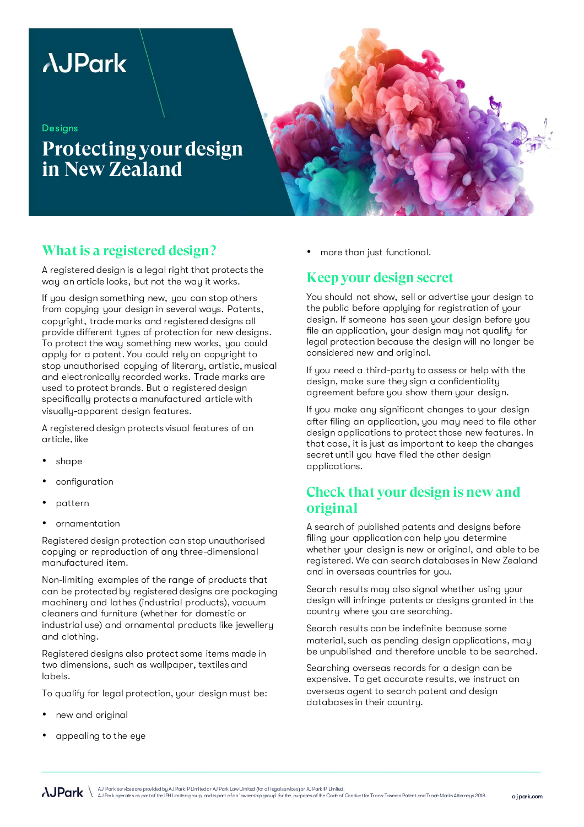# **AJPark**

#### **Designs**

**Protecting your design in New Zealand**



# **What is a registered design?**

A registered design is a legal right that protects the way an article looks, but not the way it works.

If you design something new, you can stop others from copying your design in several ways. Patents, copyright, trade marks and registered designs all provide different types of protection for new designs. To protect the way something new works, you could apply for a patent. You could rely on copyright to stop unauthorised copying of literary, artistic, musical and electronically recorded works. Trade marks are used to protect brands. But a registered design specifically protects a manufactured article with visually-apparent design features.

A registered design protects visual features of an article, like

- shape
- configuration
- pattern
- ornamentation

Registered design protection can stop unauthorised copying or reproduction of any three-dimensional manufactured item.

Non-limiting examples of the range of products that can be protected by registered designs are packaging machinery and lathes (industrial products), vacuum cleaners and furniture (whether for domestic or industrial use) and ornamental products like jewellery and clothing.

Registered designs also protect some items made in two dimensions, such as wallpaper, textiles and labels.

To qualify for legal protection, your design must be:

- new and original
- appealing to the eye

• more than just functional.

### **Keep your design secret**

You should not show, sell or advertise your design to the public before applying for registration of your design. If someone has seen your design before you file an application, your design may not qualify for legal protection because the design will no longer be considered new and original.

If you need a third-party to assess or help with the design, make sure they sign a confidentiality agreement before you show them your design.

If you make any significant changes to your design after filing an application, you may need to file other design applications to protect those new features. In that case, it is just as important to keep the changes secret until you have filed the other design applications.

# **Check that your design is new and original**

A search of published patents and designs before filing your application can help you determine whether your design is new or original, and able to be registered. We can search databases in New Zealand and in overseas countries for you.

Search results may also signal whether using your design will infringe patents or designs granted in the country where you are searching.

Search results can be indefinite because some material, such as pending design applications, may be unpublished and therefore unable to be searched.

Searching overseas records for a design can be expensive. To get accurate results, we instruct an overseas agent to search patent and design databases in their country.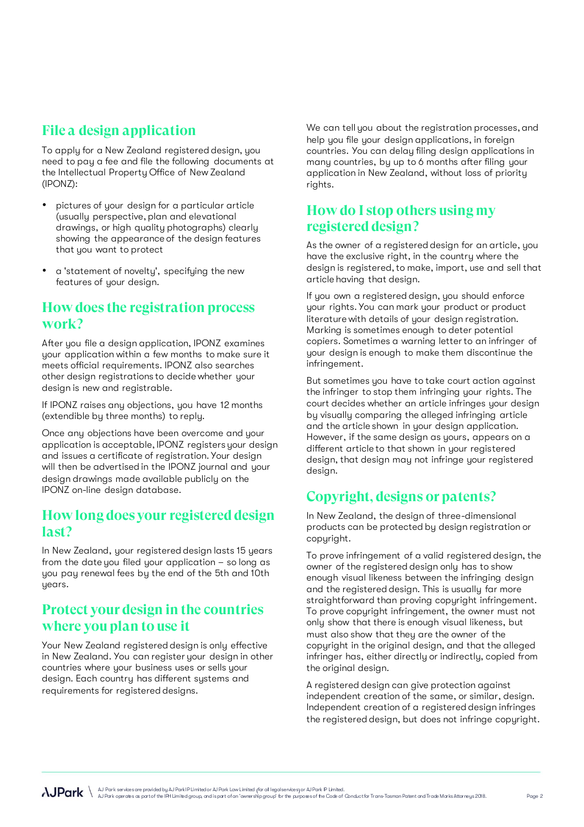# **File a design application**

To apply for a New Zealand registered design, you need to pay a fee and file the following documents at the Intellectual Property Office of New Zealand (IPONZ):

- pictures of your design for a particular article (usually perspective, plan and elevational drawings, or high quality photographs) clearly showing the appearance of the design features that you want to protect
- a 'statement of novelty', specifying the new features of your design.

#### **How does the registration process work?**

After you file a design application, IPONZ examines your application within a few months to make sure it meets official requirements. IPONZ also searches other design registrations to decide whether your design is new and registrable.

If IPONZ raises any objections, you have 12 months (extendible by three months) to reply.

Once any objections have been overcome and your application is acceptable, IPONZ registers your design and issues a certificate of registration. Your design will then be advertised in the IPONZ journal and your design drawings made available publicly on the IPONZ on-line design database.

#### **How long does your registered design last?**

In New Zealand, your registered design lasts 15 years from the date you filed your application – so long as you pay renewal fees by the end of the 5th and 10th years.

# **Protect your design in the countries where you plan to use it**

Your New Zealand registered design is only effective in New Zealand. You can register your design in other countries where your business uses or sells your design. Each country has different systems and requirements for registered designs.

We can tell you about the registration processes, and help you file your design applications, in foreign countries. You can delay filing design applications in many countries, by up to 6 months after filing your application in New Zealand, without loss of priority rights.

### **How do I stop others using my registered design?**

As the owner of a registered design for an article, you have the exclusive right, in the country where the design is registered, to make, import, use and sell that article having that design.

If you own a registered design, you should enforce your rights. You can mark your product or product literature with details of your design registration. Marking is sometimes enough to deter potential copiers. Sometimes a warning letter to an infringer of your design is enough to make them discontinue the infringement.

But sometimes you have to take court action against the infringer to stop them infringing your rights. The court decides whether an article infringes your design by visually comparing the alleged infringing article and the article shown in your design application. However, if the same design as yours, appears on a different article to that shown in your registered design, that design may not infringe your registered design.

# **Copyright, designs or patents?**

In New Zealand, the design of three-dimensional products can be protected by design registration or copyright.

To prove infringement of a valid registered design, the owner of the registered design only has to show enough visual likeness between the infringing design and the registered design. This is usually far more straightforward than proving copyright infringement. To prove copyright infringement, the owner must not only show that there is enough visual likeness, but must also show that they are the owner of the copyright in the original design, and that the alleged infringer has, either directly or indirectly, copied from the original design.

A registered design can give protection against independent creation of the same, or similar, design. Independent creation of a registered design infringes the registered design, but does not infringe copyright.